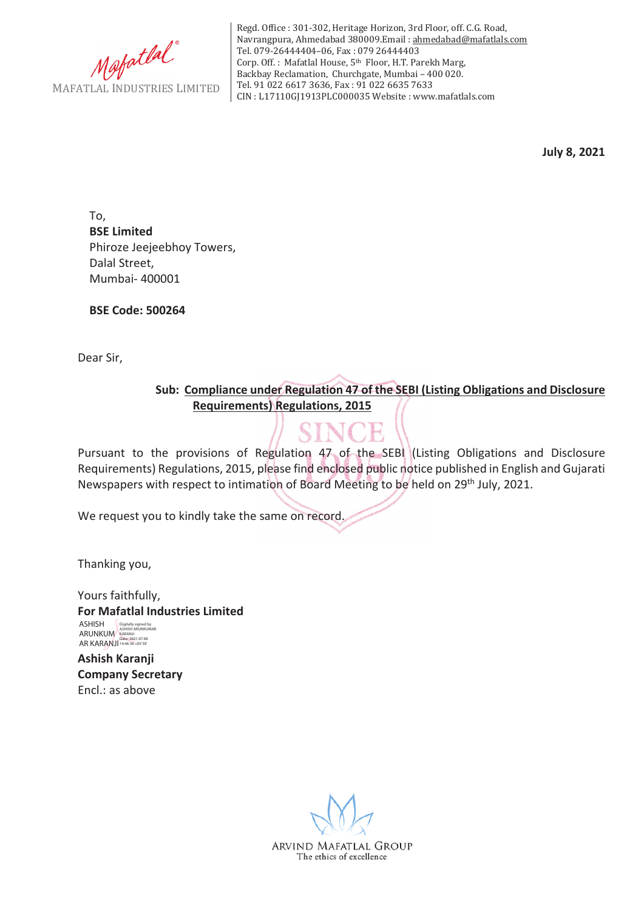

Regd. Office : 301-302, Heritage Horizon, 3rd Floor, off. C.G. Road, Navrangpura, Ahmedabad 380009.Email : ahmedabad@mafatlals.com Tel. 079-26444404–06, Fax : 079 26444403 Corp. Off. : Mafatlal House, 5th Floor, H.T. Parekh Marg, Backbay Reclamation, Churchgate, Mumbai – 400 020. Tel. 91 022 6617 3636, Fax : 91 022 6635 7633 CIN : L17110GJ1913PLC000035 Website : www.mafatlals.com

**July 8, 2021**

To, **BSE Limited** Phiroze Jeejeebhoy Towers, Dalal Street, Mumbai- 400001

**BSE Code: 500264**

Dear Sir,

**Sub:Compliance under Regulation 47 of the SEBI (Listing Obligations and Disclosure Requirements) Regulations, 2015**

Pursuant to the provisions of Regulation 47 of the SEBI (Listing Obligations and Disclosure Requirements) Regulations, 2015, please find enclosed public notice published in English and Gujarati Newspapers with respect to intimation of Board Meeting to be held on 29th July, 2021.

We request you to kindly take the same on record.

Thanking you,

Yours faithfully, **For Mafatlal Industries Limited Ashish Karanji** ASHISH ASHISH Digitally signed by ASHISH ARUNKUMAR AR KARANJI <sup>Date:</sup> 2021.07.08

**Company Secretary** Encl.: as above

> ARVIND MAFATLAL GROUP The ethics of excellence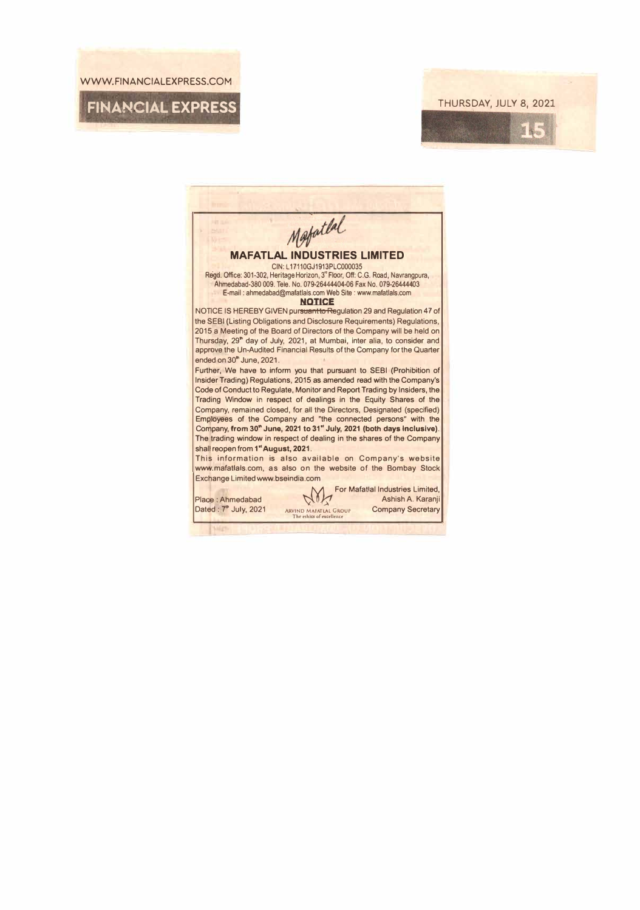WWW.FINANCIALEXPRESS.COM

**r** 

## **FINANCIAL EXPRESS THURSDAY, JULY 8, 2021**

**ME**